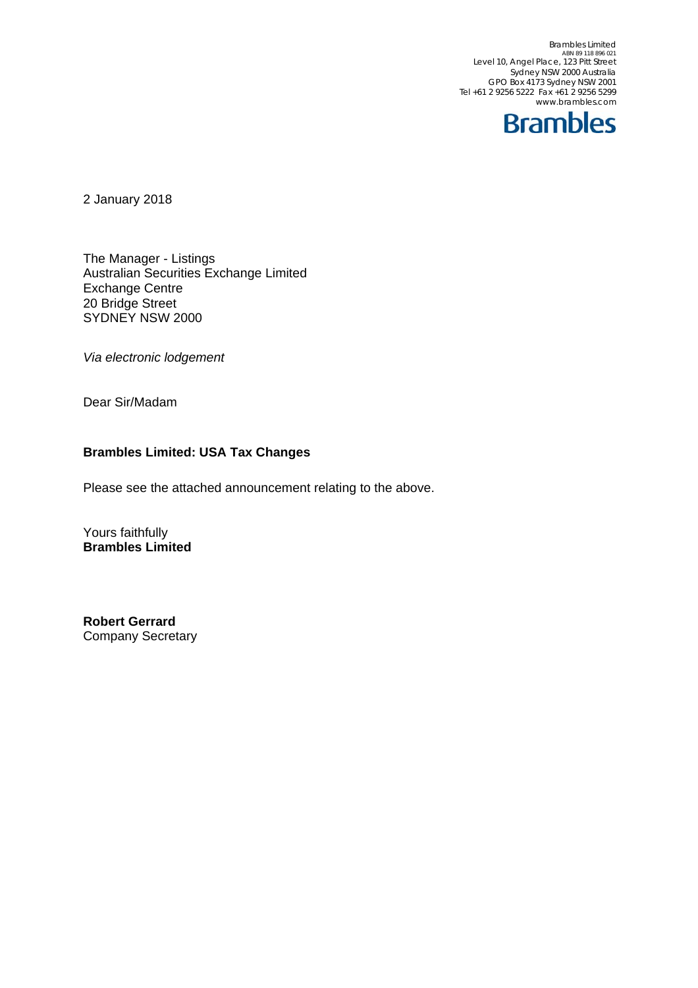Brambles Limited<br>ABN 89 118 896 021<br>Level 10, Angel Place, 123 Pitt Street Sydney NSW 2000 Australia GPO Box 4173 Sydney NSW 2001 Tel +61 2 9256 5222 Fax +61 2 9256 5299 www.brambles.com



2 January 2018

The Manager - Listings Australian Securities Exchange Limited Exchange Centre 20 Bridge Street SYDNEY NSW 2000

*Via electronic lodgement*

Dear Sir/Madam

## **Brambles Limited: USA Tax Changes**

Please see the attached announcement relating to the above.

Yours faithfully **Brambles Limited** 

**Robert Gerrard**  Company Secretary